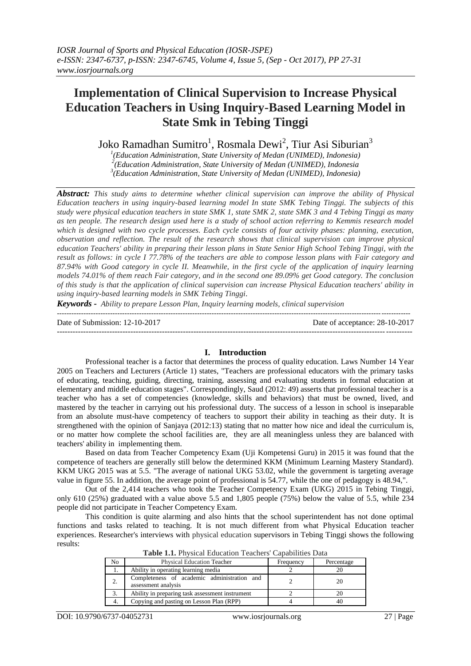# **Implementation of Clinical Supervision to Increase Physical Education Teachers in Using Inquiry-Based Learning Model in State Smk in Tebing Tinggi**

Joko Ramadhan Sumitro<sup>1</sup>, Rosmala Dewi<sup>2</sup>, Tiur Asi Siburian<sup>3</sup>

<sup>*1*</sup>(Education Administration, State University of Medan (UNIMED), Indonesia)<br><sup>2</sup>(Education Administration, State University of Medan (UNIMED), Indonesia *(Education Administration, State University of Medan (UNIMED), Indonesia 3 (Education Administration, State University of Medan (UNIMED), Indonesia)*

*Abstract: This study aims to determine whether clinical supervision can improve the ability of Physical Education teachers in using inquiry-based learning model In state SMK Tebing Tinggi. The subjects of this study were physical education teachers in state SMK 1, state SMK 2, state SMK 3 and 4 Tebing Tinggi as many as ten people. The research design used here is a study of school action referring to Kemmis research model which is designed with two cycle processes. Each cycle consists of four activity phases: planning, execution, observation and reflection. The result of the research shows that clinical supervision can improve physical education Teachers' ability in preparing their lesson plans in State Senior High School Tebing Tinggi, with the result as follows: in cycle I 77.78% of the teachers are able to compose lesson plans with Fair category and 87.94% with Good category in cycle II. Meanwhile, in the first cycle of the application of inquiry learning models 74.01% of them reach Fair category, and in the second one 89.09% get Good category. The conclusion of this study is that the application of clinical supervision can increase Physical Education teachers' ability in using inquiry-based learning models in SMK Tebing Tinggi.*

*Keywords - Ability to prepare Lesson Plan, Inquiry learning models, clinical supervision*

-------------------------------------------------------------------------------------------------------------------------------------------------- Date of Submission: 12-10-2017 Date of acceptance: 28-10-2017

## ---------------------------------------------------------------------------------------------------------------------------------------

## **I. Introduction**

Professional teacher is a factor that determines the process of quality education. Laws Number 14 Year 2005 on Teachers and Lecturers (Article 1) states, "Teachers are professional educators with the primary tasks of educating, teaching, guiding, directing, training, assessing and evaluating students in formal education at elementary and middle education stages". Correspondingly, Saud (2012: 49) asserts that professional teacher is a teacher who has a set of competencies (knowledge, skills and behaviors) that must be owned, lived, and mastered by the teacher in carrying out his professional duty. The success of a lesson in school is inseparable from an absolute must-have competency of teachers to support their ability in teaching as their duty. It is strengthened with the opinion of Sanjaya (2012:13) stating that no matter how nice and ideal the curriculum is, or no matter how complete the school facilities are, they are all meaningless unless they are balanced with teachers' ability in implementing them.

Based on data from Teacher Competency Exam (Uji Kompetensi Guru) in 2015 it was found that the competence of teachers are generally still below the determined KKM (Minimum Learning Mastery Standard). KKM UKG 2015 was at 5.5. "The average of national UKG 53.02, while the government is targeting average value in figure 55. In addition, the average point of professional is 54.77, while the one of pedagogy is 48.94,".

Out of the 2,414 teachers who took the Teacher Competency Exam (UKG) 2015 in Tebing Tinggi, only 610 (25%) graduated with a value above 5.5 and 1,805 people (75%) below the value of 5.5, while 234 people did not participate in Teacher Competency Exam.

This condition is quite alarming and also hints that the school superintendent has not done optimal functions and tasks related to teaching. It is not much different from what Physical Education teacher experiences. Researcher's interviews with physical education supervisors in Tebing Tinggi shows the following results:

| <b>Table 1.1.</b> Thysical Education Teachers' Capabilities Data |                                                                    |           |            |  |  |
|------------------------------------------------------------------|--------------------------------------------------------------------|-----------|------------|--|--|
| No                                                               | <b>Physical Education Teacher</b>                                  | Frequency | Percentage |  |  |
| 1.                                                               | Ability in operating learning media                                |           |            |  |  |
| 2.                                                               | Completeness of academic administration and<br>assessment analysis |           | 20         |  |  |
| 3.                                                               | Ability in preparing task assessment instrument                    |           |            |  |  |
| 4.                                                               | Copying and pasting on Lesson Plan (RPP)                           |           |            |  |  |

**Table 1.1.** Physical Education Teachers' Capabilities Data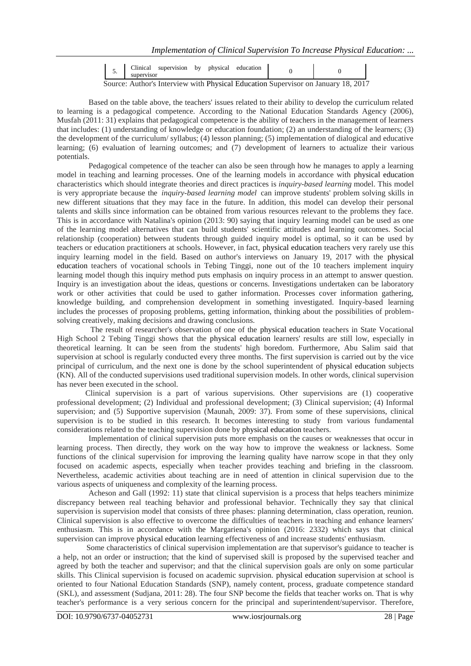| supervisor | <u>.</u> | Clinical<br>supervision | physical<br>by | education |  |  |
|------------|----------|-------------------------|----------------|-----------|--|--|
|------------|----------|-------------------------|----------------|-----------|--|--|

Source: Author's Interview with Physical Education Supervisor on January 18, 2017

 Based on the table above, the teachers' issues related to their ability to develop the curriculum related to learning is a pedagogical competence. According to the National Education Standards Agency (2006), Musfah (2011: 31) explains that pedagogical competence is the ability of teachers in the management of learners that includes: (1) understanding of knowledge or education foundation; (2) an understanding of the learners; (3) the development of the curriculum/ syllabus; (4) lesson planning; (5) implementation of dialogical and educative learning; (6) evaluation of learning outcomes; and (7) development of learners to actualize their various potentials.

 Pedagogical competence of the teacher can also be seen through how he manages to apply a learning model in teaching and learning processes. One of the learning models in accordance with physical education characteristics which should integrate theories and direct practices is *inquiry-based learning* model. This model is very appropriate because the *inquiry-based learning model* can improve students' problem solving skills in new different situations that they may face in the future. In addition, this model can develop their personal talents and skills since information can be obtained from various resources relevant to the problems they face. This is in accordance with Natalina's opinion (2013: 90) saying that inquiry learning model can be used as one of the learning model alternatives that can build students' scientific attitudes and learning outcomes. Social relationship (cooperation) between students through guided inquiry model is optimal, so it can be used by teachers or education practitioners at schools. However, in fact, physical education teachers very rarely use this inquiry learning model in the field. Based on author's interviews on January 19, 2017 with the physical education teachers of vocational schools in Tebing Tinggi, none out of the 10 teachers implement inquiry learning model though this inquiry method puts emphasis on inquiry process in an attempt to answer question. Inquiry is an investigation about the ideas, questions or concerns. Investigations undertaken can be laboratory work or other activities that could be used to gather information. Processes cover information gathering, knowledge building, and comprehension development in something investigated. Inquiry-based learning includes the processes of proposing problems, getting information, thinking about the possibilities of problemsolving creatively, making decisions and drawing conclusions.

The result of researcher's observation of one of the physical education teachers in State Vocational High School 2 Tebing Tinggi shows that the physical education learners' results are still low, especially in theoretical learning. It can be seen from the students' high boredom. Furthermore, Abu Salim said that supervision at school is regularly conducted every three months. The first supervision is carried out by the vice principal of curriculum, and the next one is done by the school superintendent of physical education subjects (KN). All of the conducted supervisions used traditional supervision models. In other words, clinical supervision has never been executed in the school.

Clinical supervision is a part of various supervisions. Other supervisions are (1) cooperative professional development; (2) Individual and professional development; (3) Clinical supervision; (4) Informal supervision; and (5) Supportive supervision (Maunah, 2009: 37). From some of these supervisions, clinical supervision is to be studied in this research. It becomes interesting to study from various fundamental considerations related to the teaching supervision done by physical education teachers.

 Implementation of clinical supervision puts more emphasis on the causes or weaknesses that occur in learning process. Then directly, they work on the way how to improve the weakness or lackness. Some functions of the clinical supervision for improving the learning quality have narrow scope in that they only focused on academic aspects, especially when teacher provides teaching and briefing in the classroom. Nevertheless, academic activities about teaching are in need of attention in clinical supervision due to the various aspects of uniqueness and complexity of the learning process.

 Acheson and Gall (1992: 11) state that clinical supervision is a process that helps teachers minimize discrepancy between real teaching behavior and professional behavior. Technically they say that clinical supervision is supervision model that consists of three phases: planning determination, class operation, reunion. Clinical supervision is also effective to overcome the difficulties of teachers in teaching and enhance learners' enthusiasm. This is in accordance with the Margariena's opinion (2016: 2332) which says that clinical supervision can improve physical education learning effectiveness of and increase students' enthusiasm.

Some characteristics of clinical supervision implementation are that supervisor's guidance to teacher is a help, not an order or instruction; that the kind of supervised skill is proposed by the supervised teacher and agreed by both the teacher and supervisor; and that the clinical supervision goals are only on some particular skills. This Clinical supervision is focused on academic suprvision. physical education supervision at school is oriented to four National Education Standards (SNP), namely content, process, graduate competence standard (SKL), and assessment (Sudjana, 2011: 28). The four SNP become the fields that teacher works on. That is why teacher's performance is a very serious concern for the principal and superintendent/supervisor. Therefore,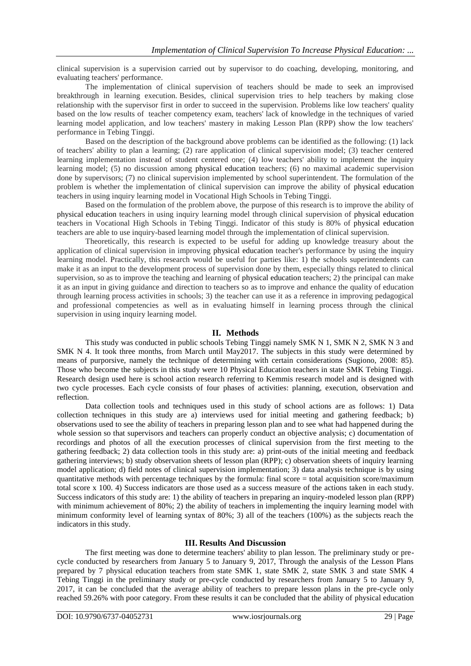clinical supervision is a supervision carried out by supervisor to do coaching, developing, monitoring, and evaluating teachers' performance.

The implementation of clinical supervision of teachers should be made to seek an improvised breakthrough in learning execution. Besides, clinical supervision tries to help teachers by making close relationship with the supervisor first in order to succeed in the supervision. Problems like low teachers' quality based on the low results of teacher competency exam, teachers' lack of knowledge in the techniques of varied learning model application, and low teachers' mastery in making Lesson Plan (RPP) show the low teachers' performance in Tebing Tinggi.

Based on the description of the background above problems can be identified as the following: (1) lack of teachers' ability to plan a learning; (2) rare application of clinical supervision model; (3) teacher centered learning implementation instead of student centered one; (4) low teachers' ability to implement the inquiry learning model; (5) no discussion among physical education teachers; (6) no maximal academic supervision done by supervisors; (7) no clinical supervision implemented by school superintendent. The formulation of the problem is whether the implementation of clinical supervision can improve the ability of physical education teachers in using inquiry learning model in Vocational High Schools in Tebing Tinggi.

Based on the formulation of the problem above, the purpose of this research is to improve the ability of physical education teachers in using inquiry learning model through clinical supervision of physical education teachers in Vocational High Schools in Tebing Tinggi. Indicator of this study is 80% of physical education teachers are able to use inquiry-based learning model through the implementation of clinical supervision.

Theoretically, this research is expected to be useful for adding up knowledge treasury about the application of clinical supervision in improving physical education teacher's performance by using the inquiry learning model. Practically, this research would be useful for parties like: 1) the schools superintendents can make it as an input to the development process of supervision done by them, especially things related to clinical supervision, so as to improve the teaching and learning of physical education teachers; 2) the principal can make it as an input in giving guidance and direction to teachers so as to improve and enhance the quality of education through learning process activities in schools; 3) the teacher can use it as a reference in improving pedagogical and professional competencies as well as in evaluating himself in learning process through the clinical supervision in using inquiry learning model.

## **II. Methods**

This study was conducted in public schools Tebing Tinggi namely SMK N 1, SMK N 2, SMK N 3 and SMK N 4. It took three months, from March until May2017. The subjects in this study were determined by means of purporsive, namely the technique of determining with certain considerations (Sugiono, 2008: 85). Those who become the subjects in this study were 10 Physical Education teachers in state SMK Tebing Tinggi. Research design used here is school action research referring to Kemmis research model and is designed with two cycle processes. Each cycle consists of four phases of activities: planning, execution, observation and reflection.

Data collection tools and techniques used in this study of school actions are as follows: 1) Data collection techniques in this study are a) interviews used for initial meeting and gathering feedback; b) observations used to see the ability of teachers in preparing lesson plan and to see what had happened during the whole session so that supervisors and teachers can properly conduct an objective analysis; c) documentation of recordings and photos of all the execution processes of clinical supervision from the first meeting to the gathering feedback; 2) data collection tools in this study are: a) print-outs of the initial meeting and feedback gathering interviews; b) study observation sheets of lesson plan (RPP); c) observation sheets of inquiry learning model application; d) field notes of clinical supervision implementation; 3) data analysis technique is by using quantitative methods with percentage techniques by the formula: final score = total acquisition score/maximum total score x 100. 4) Success indicators are those used as a success measure of the actions taken in each study. Success indicators of this study are: 1) the ability of teachers in preparing an inquiry-modeled lesson plan (RPP) with minimum achievement of 80%; 2) the ability of teachers in implementing the inquiry learning model with minimum conformity level of learning syntax of 80%; 3) all of the teachers (100%) as the subjects reach the indicators in this study.

## **III. Results And Discussion**

The first meeting was done to determine teachers' ability to plan lesson. The preliminary study or precycle conducted by researchers from January 5 to January 9, 2017, Through the analysis of the Lesson Plans prepared by 7 physical education teachers from state SMK 1, state SMK 2, state SMK 3 and state SMK 4 Tebing Tinggi in the preliminary study or pre-cycle conducted by researchers from January 5 to January 9, 2017, it can be concluded that the average ability of teachers to prepare lesson plans in the pre-cycle only reached 59.26% with poor category. From these results it can be concluded that the ability of physical education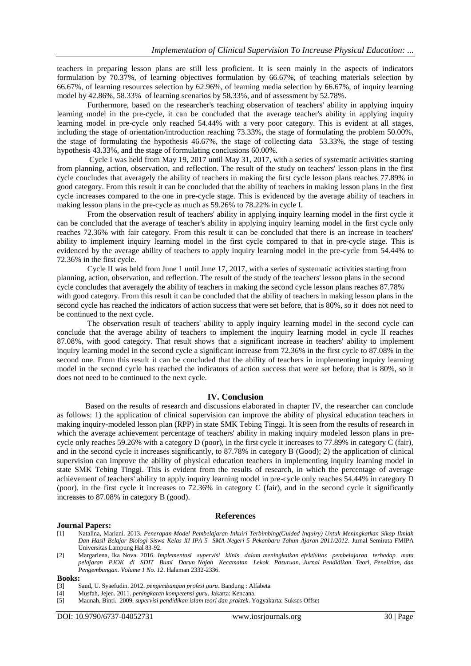teachers in preparing lesson plans are still less proficient. It is seen mainly in the aspects of indicators formulation by 70.37%, of learning objectives formulation by 66.67%, of teaching materials selection by 66.67%, of learning resources selection by 62.96%, of learning media selection by 66.67%, of inquiry learning model by 42.86%, 58.33% of learning scenarios by 58.33%, and of assessment by 52.78%.

Furthermore, based on the researcher's teaching observation of teachers' ability in applying inquiry learning model in the pre-cycle, it can be concluded that the average teacher's ability in applying inquiry learning model in pre-cycle only reached 54.44% with a very poor category. This is evident at all stages, including the stage of orientation/introduction reaching 73.33%, the stage of formulating the problem 50.00%, the stage of formulating the hypothesis 46.67%, the stage of collecting data 53.33%, the stage of testing hypothesis 43.33%, and the stage of formulating conclusions 60.00%.

 Cycle I was held from May 19, 2017 until May 31, 2017, with a series of systematic activities starting from planning, action, observation, and reflection. The result of the study on teachers' lesson plans in the first cycle concludes that averagely the ability of teachers in making the first cycle lesson plans reaches 77.89% in good category. From this result it can be concluded that the ability of teachers in making lesson plans in the first cycle increases compared to the one in pre-cycle stage. This is evidenced by the average ability of teachers in making lesson plans in the pre-cycle as much as 59.26% to 78.22% in cycle I.

From the observation result of teachers' ability in applying inquiry learning model in the first cycle it can be concluded that the average of teacher's ability in applying inquiry learning model in the first cycle only reaches 72.36% with fair category. From this result it can be concluded that there is an increase in teachers' ability to implement inquiry learning model in the first cycle compared to that in pre-cycle stage. This is evidenced by the average ability of teachers to apply inquiry learning model in the pre-cycle from 54.44% to 72.36% in the first cycle.

Cycle II was held from June 1 until June 17, 2017, with a series of systematic activities starting from planning, action, observation, and reflection. The result of the study of the teachers' lesson plans in the second cycle concludes that averagely the ability of teachers in making the second cycle lesson plans reaches 87.78% with good category. From this result it can be concluded that the ability of teachers in making lesson plans in the second cycle has reached the indicators of action success that were set before, that is 80%, so it does not need to be continued to the next cycle.

The observation result of teachers' ability to apply inquiry learning model in the second cycle can conclude that the average ability of teachers to implement the inquiry learning model in cycle II reaches 87.08%, with good category. That result shows that a significant increase in teachers' ability to implement inquiry learning model in the second cycle a significant increase from 72.36% in the first cycle to 87.08% in the second one. From this result it can be concluded that the ability of teachers in implementing inquiry learning model in the second cycle has reached the indicators of action success that were set before, that is 80%, so it does not need to be continued to the next cycle.

## **IV. Conclusion**

Based on the results of research and discussions elaborated in chapter IV, the researcher can conclude as follows: 1) the application of clinical supervision can improve the ability of physical education teachers in making inquiry-modeled lesson plan (RPP) in state SMK Tebing Tinggi. It is seen from the results of research in which the average achievement percentage of teachers' ability in making inquiry modeled lesson plans in precycle only reaches 59.26% with a category D (poor), in the first cycle it increases to 77.89% in category C (fair), and in the second cycle it increases significantly, to 87.78% in category B (Good); 2) the application of clinical supervision can improve the ability of physical education teachers in implementing inquiry learning model in state SMK Tebing Tinggi. This is evident from the results of research, in which the percentage of average achievement of teachers' ability to apply inquiry learning model in pre-cycle only reaches 54.44% in category D (poor), in the first cycle it increases to 72.36% in category C (fair), and in the second cycle it significantly increases to 87.08% in category B (good).

## **Journal Papers:**

## **References**

- [1] Natalina, Mariani. 2013. *Penerapan Model Pembelajaran Inkuiri Terbimbing(Guided Inquiry) Untuk Meningkatkan Sikap Ilmiah Dan Hasil Belajar Biologi Siswa Kelas XI IPA 5 SMA Negeri 5 Pekanbaru Tahun Ajaran 2011/2012*. Jurnal Semirata FMIPA Universitas Lampung Hal 83-92.
- [2] Margariena, Ika Nova. 2016. *Implementasi supervisi klinis dalam meningkatkan efektivitas pembelajaran terhadap mata pelajaran PJOK di SDIT Bumi Darun Najah Kecamatan Lekok Pasuruan. Jurnal Pendidikan. Teori, Penelitian, dan Pengembangan. Volume 1 No. 12*. Halaman 2332-2336.

#### **Books:**

- [3] Saud, U. Syaefudin. 2012. *pengembangan profesi guru*. Bandung : Alfabeta
- [4] Musfah, Jejen. 2011. *peningkatan kompetensi guru*. Jakarta: Kencana.
- [5] Maunah, Binti. 2009. *supervisi pendidikan islam teori dan praktek*. Yogyakarta: Sukses Offset